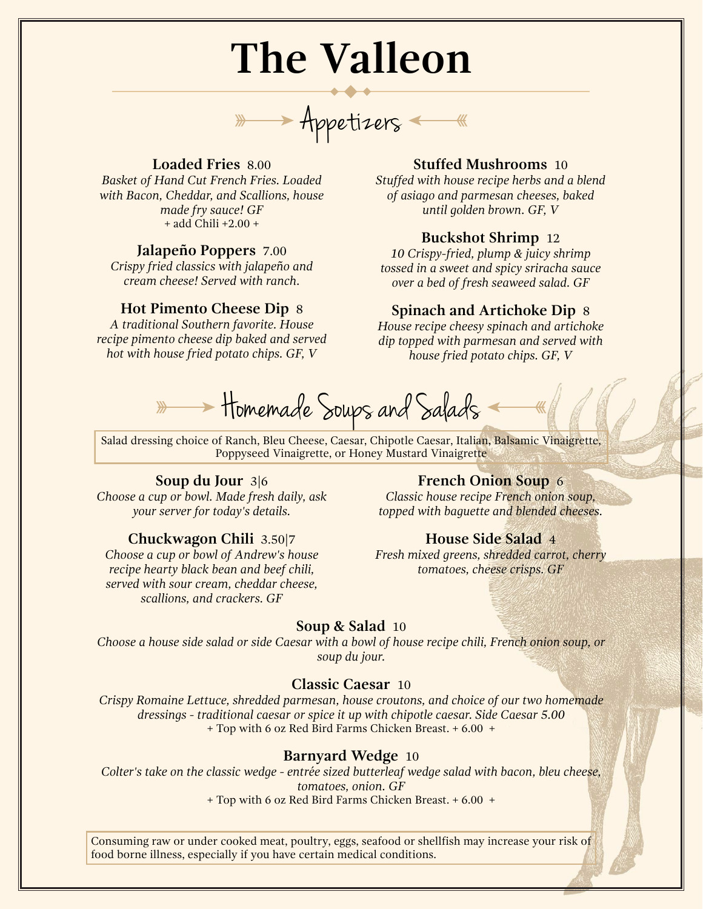# **The Valleon**

Appetizers

# **Loaded Fries** 8.00

*Basket of Hand Cut French Fries. Loaded with Bacon, Cheddar, and Scallions, house made fry sauce! GF* + add Chili +2.00 +

## **Jalapeño Poppers** 7.00

*Crispy fried classics with jalapeño and cream cheese! Served with ranch.*

## **Hot Pimento Cheese Dip** 8

*A traditional Southern favorite. House recipe pimento cheese dip baked and served hot with house fried potato chips. GF, V*

# **Stuffed Mushrooms** 10

*Stuffed with house recipe herbs and a blend of asiago and parmesan cheeses, baked until golden brown. GF, V*

# **Buckshot Shrimp** 12

*10 Crispy-fried, plump & juicy shrimp tossed in a sweet and spicy sriracha sauce over a bed of fresh seaweed salad. GF*

# **Spinach and Artichoke Dip** 8

*House recipe cheesy spinach and artichoke dip topped with parmesan and served with house fried potato chips. GF, V*

**Homemade Soups and Salads** 

Salad dressing choice of Ranch, Bleu Cheese, Caesar, Chipotle Caesar, Italian, Balsamic Vinaigrette, Poppyseed Vinaigrette, or Honey Mustard Vinaigrette

#### **Soup du Jour** 3|6

*Choose a cup or bowl. Made fresh daily, ask your server for today's details.*

#### **Chuckwagon Chili** 3.50|7

*Choose a cup or bowl of Andrew's house recipe hearty black bean and beef chili, served with sour cream, cheddar cheese, scallions, and crackers. GF*

## **French Onion Soup** 6

*Classic house recipe French onion soup, topped with baguette and blended cheeses.*

## **House Side Salad** 4

*Fresh mixed greens, shredded carrot, cherry tomatoes, cheese crisps. GF*

## **Soup & Salad** 10

*Choose a house side salad or side Caesar with a bowl of house recipe chili, French onion soup, or soup du jour.*

# **Classic Caesar** 10

*Crispy Romaine Lettuce, shredded parmesan, house croutons, and choice of our two homemade dressings - traditional caesar or spice it up with chipotle caesar. Side Caesar 5.00* + Top with 6 oz Red Bird Farms Chicken Breast. + 6.00 +

## **Barnyard Wedge** 10

*Colter's take on the classic wedge - entrée sized butterleaf wedge salad with bacon, bleu cheese, tomatoes, onion. GF* + Top with 6 oz Red Bird Farms Chicken Breast. + 6.00 +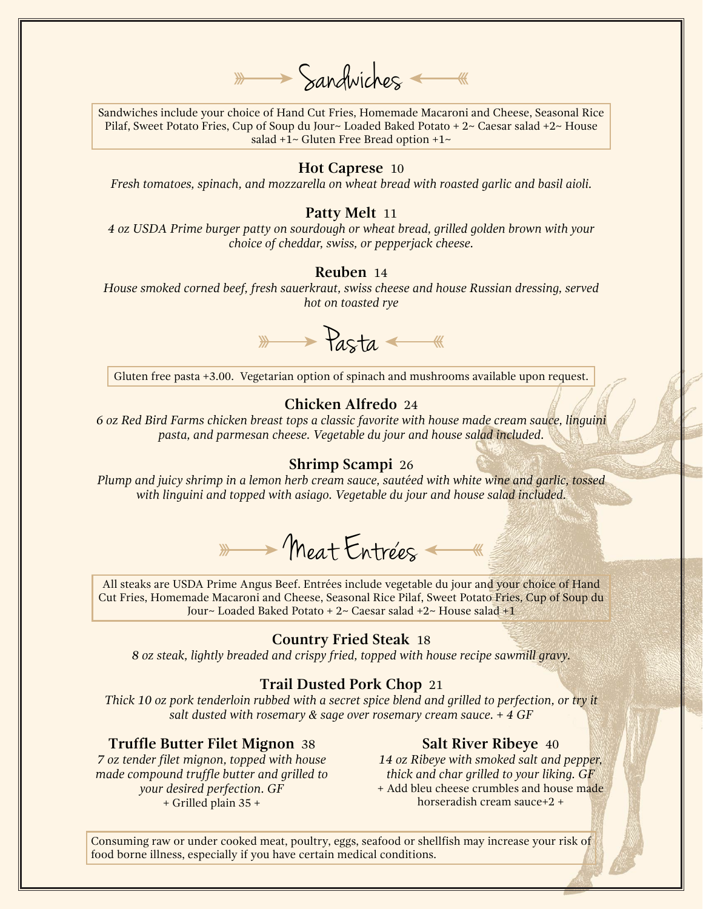$\longrightarrow$  Sandwiches

Sandwiches include your choice of Hand Cut Fries, Homemade Macaroni and Cheese, Seasonal Rice Pilaf, Sweet Potato Fries, Cup of Soup du Jour~ Loaded Baked Potato + 2~ Caesar salad +2~ House salad  $+1$ ~ Gluten Free Bread option  $+1$ ~

#### **Hot Caprese** 10

*Fresh tomatoes, spinach, and mozzarella on wheat bread with roasted garlic and basil aioli.*

#### **Patty Melt** 11

*4 oz USDA Prime burger patty on sourdough or wheat bread, grilled golden brown with your choice of cheddar, swiss, or pepperjack cheese.*

# **Reuben** 14

*House smoked corned beef, fresh sauerkraut, swiss cheese and house Russian dressing, served hot on toasted rye*

 $\overline{\mathscr{P}}$  Pasta  $\overline{\mathscr{P}}$ 

Gluten free pasta +3.00. Vegetarian option of spinach and mushrooms available upon request.

# **Chicken Alfredo** 24

*6 oz Red Bird Farms chicken breast tops a classic favorite with house made cream sauce, linguini pasta, and parmesan cheese. Vegetable du jour and house salad included.*

#### **Shrimp Scampi** 26

*Plump and juicy shrimp in a lemon herb cream sauce, sautéed with white wine and garlic, tossed with linguini and topped with asiago. Vegetable du jour and house salad included.*

Ameat Entrées

All steaks are USDA Prime Angus Beef. Entrées include vegetable du jour and your choice of Hand Cut Fries, Homemade Macaroni and Cheese, Seasonal Rice Pilaf, Sweet Potato Fries, Cup of Soup du Jour~ Loaded Baked Potato + 2~ Caesar salad +2~ House salad +1

#### **Country Fried Steak** 18

*8 oz steak, lightly breaded and crispy fried, topped with house recipe sawmill gravy.*

## **Trail Dusted Pork Chop** 21

*Thick 10 oz pork tenderloin rubbed with a secret spice blend and grilled to perfection, or try it salt dusted with rosemary & sage over rosemary cream sauce. + 4 GF*

#### **Truffle Butter Filet Mignon** 38

*7 oz tender filet mignon, topped with house made compound truffle butter and grilled to your desired perfection. GF* + Grilled plain 35 +

#### **Salt River Ribeye** 40

*14 oz Ribeye with smoked salt and pepper, thick and char grilled to your liking. GF* + Add bleu cheese crumbles and house made horseradish cream sauce+2 +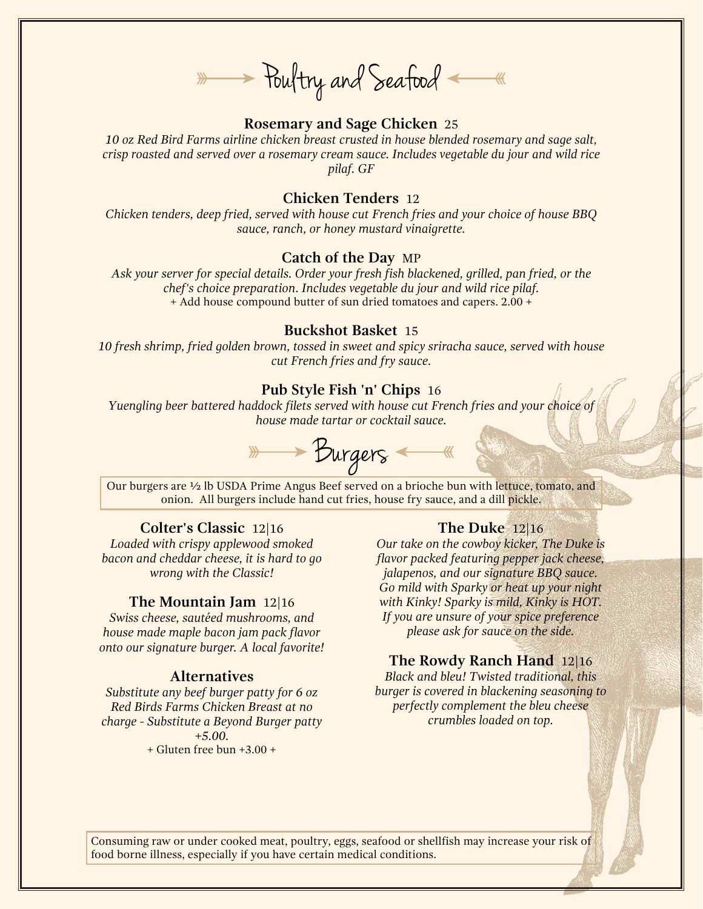\* Poultry and Seafood

## **Rosemary and Sage Chicken** 25

*10 oz Red Bird Farms airline chicken breast crusted in house blended rosemary and sage salt, crisp roasted and served over a rosemary cream sauce. Includes vegetable du jour and wild rice pilaf. GF*

# **Chicken Tenders** 12

*Chicken tenders, deep fried, served with house cut French fries and your choice of house BBQ sauce, ranch, or honey mustard vinaigrette.*

#### **Catch of the Day** MP

*Ask your server for special details. Order your fresh fish blackened, grilled, pan fried, or the chef's choice preparation. Includes vegetable du jour and wild rice pilaf.* + Add house compound butter of sun dried tomatoes and capers. 2.00 +

### **Buckshot Basket** 15

*10 fresh shrimp, fried golden brown, tossed in sweet and spicy sriracha sauce, served with house cut French fries and fry sauce.*

## **Pub Style Fish 'n' Chips** 16

*Yuengling beer battered haddock filets served with house cut French fries and your choice of house made tartar or cocktail sauce.*

Burgers

Our burgers are ½ lb USDA Prime Angus Beef served on a brioche bun with lettuce, tomato, and onion. All burgers include hand cut fries, house fry sauce, and a dill pickle.

#### **Colter's Classic** 12|16

*Loaded with crispy applewood smoked bacon and cheddar cheese, it is hard to go wrong with the Classic!*

#### **The Mountain Jam** 12|16

*Swiss cheese, sautéed mushrooms, and house made maple bacon jam pack flavor onto our signature burger. A local favorite!*

### **Alternatives**

*Substitute any beef burger patty for 6 oz Red Birds Farms Chicken Breast at no charge - Substitute a Beyond Burger patty +5.00.* + Gluten free bun +3.00 +

#### **The Duke** 12|16

*Our take on the cowboy kicker, The Duke is flavor packed featuring pepper jack cheese, jalapenos, and our signature BBQ sauce. Go mild with Sparky or heat up your night with Kinky! Sparky is mild, Kinky is HOT. If you are unsure of your spice preference please ask for sauce on the side.*

# **The Rowdy Ranch Hand** 12|16

*Black and bleu! Twisted traditional, this burger is covered in blackening seasoning to perfectly complement the bleu cheese crumbles loaded on top.*